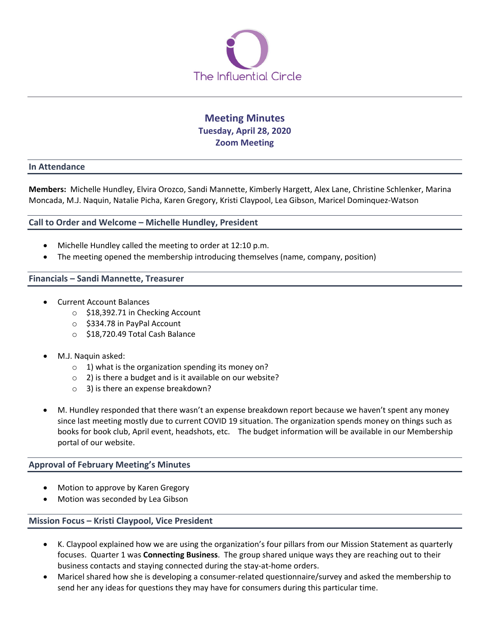

# **Meeting Minutes Tuesday, April 28, 2020 Zoom Meeting**

#### **In Attendance**

**Members:** Michelle Hundley, Elvira Orozco, Sandi Mannette, Kimberly Hargett, Alex Lane, Christine Schlenker, Marina Moncada, M.J. Naquin, Natalie Picha, Karen Gregory, Kristi Claypool, Lea Gibson, Maricel Dominquez-Watson

## **Call to Order and Welcome – Michelle Hundley, President**

- Michelle Hundley called the meeting to order at 12:10 p.m.
- The meeting opened the membership introducing themselves (name, company, position)

#### **Financials – Sandi Mannette, Treasurer**

- Current Account Balances
	- o \$18,392.71 in Checking Account
	- o \$334.78 in PayPal Account
	- o \$18,720.49 Total Cash Balance
- M.J. Naquin asked:
	- $\circ$  1) what is the organization spending its money on?
	- o 2) is there a budget and is it available on our website?
	- o 3) is there an expense breakdown?
- M. Hundley responded that there wasn't an expense breakdown report because we haven't spent any money since last meeting mostly due to current COVID 19 situation. The organization spends money on things such as books for book club, April event, headshots, etc. The budget information will be available in our Membership portal of our website.

## **Approval of February Meeting's Minutes**

- Motion to approve by Karen Gregory
- Motion was seconded by Lea Gibson

## **Mission Focus – Kristi Claypool, Vice President**

- K. Claypool explained how we are using the organization's four pillars from our Mission Statement as quarterly focuses. Quarter 1 was **Connecting Business**. The group shared unique ways they are reaching out to their business contacts and staying connected during the stay-at-home orders.
- Maricel shared how she is developing a consumer-related questionnaire/survey and asked the membership to send her any ideas for questions they may have for consumers during this particular time.